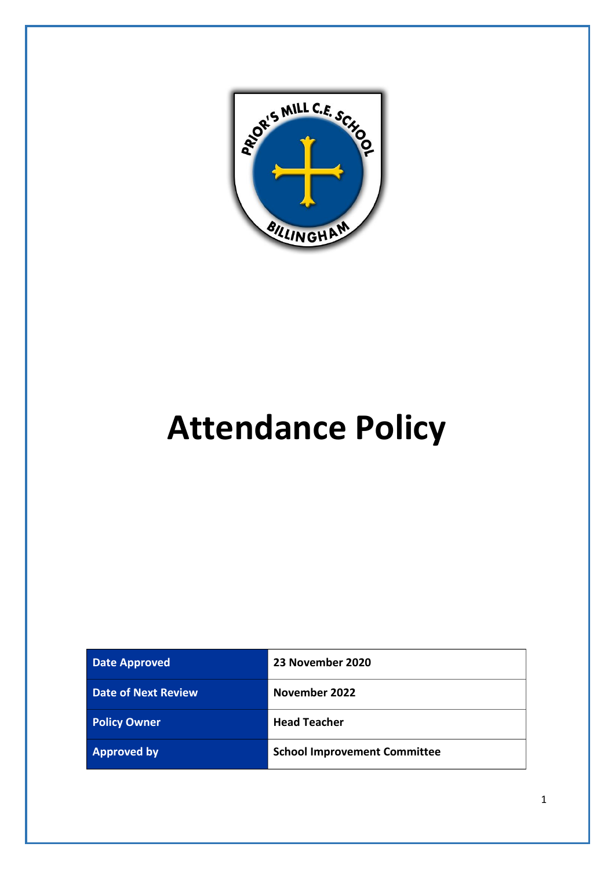

# **Attendance Policy**

| <b>Date Approved</b>       | 23 November 2020                    |
|----------------------------|-------------------------------------|
| <b>Date of Next Review</b> | November 2022                       |
| <b>Policy Owner</b>        | <b>Head Teacher</b>                 |
| <b>Approved by</b>         | <b>School Improvement Committee</b> |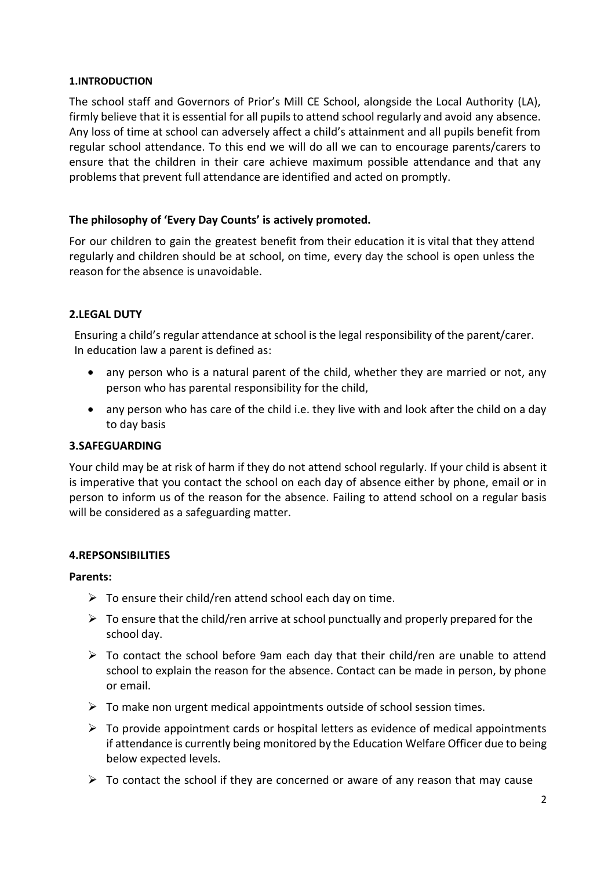## **1.INTRODUCTION**

The school staff and Governors of Prior's Mill CE School, alongside the Local Authority (LA), firmly believe that it is essential for all pupils to attend school regularly and avoid any absence. Any loss of time at school can adversely affect a child's attainment and all pupils benefit from regular school attendance. To this end we will do all we can to encourage parents/carers to ensure that the children in their care achieve maximum possible attendance and that any problems that prevent full attendance are identified and acted on promptly.

## **The philosophy of 'Every Day Counts' is actively promoted.**

For our children to gain the greatest benefit from their education it is vital that they attend regularly and children should be at school, on time, every day the school is open unless the reason for the absence is unavoidable.

## **2.LEGAL DUTY**

Ensuring a child's regular attendance at school is the legal responsibility of the parent/carer. In education law a parent is defined as:

- any person who is a natural parent of the child, whether they are married or not, any person who has parental responsibility for the child,
- any person who has care of the child i.e. they live with and look after the child on a day to day basis

## **3.SAFEGUARDING**

Your child may be at risk of harm if they do not attend school regularly. If your child is absent it is imperative that you contact the school on each day of absence either by phone, email or in person to inform us of the reason for the absence. Failing to attend school on a regular basis will be considered as a safeguarding matter.

## **4.REPSONSIBILITIES**

### **Parents:**

- $\triangleright$  To ensure their child/ren attend school each day on time.
- $\triangleright$  To ensure that the child/ren arrive at school punctually and properly prepared for the school day.
- $\triangleright$  To contact the school before 9am each day that their child/ren are unable to attend school to explain the reason for the absence. Contact can be made in person, by phone or email.
- $\triangleright$  To make non urgent medical appointments outside of school session times.
- $\triangleright$  To provide appointment cards or hospital letters as evidence of medical appointments if attendance is currently being monitored by the Education Welfare Officer due to being below expected levels.
- $\triangleright$  To contact the school if they are concerned or aware of any reason that may cause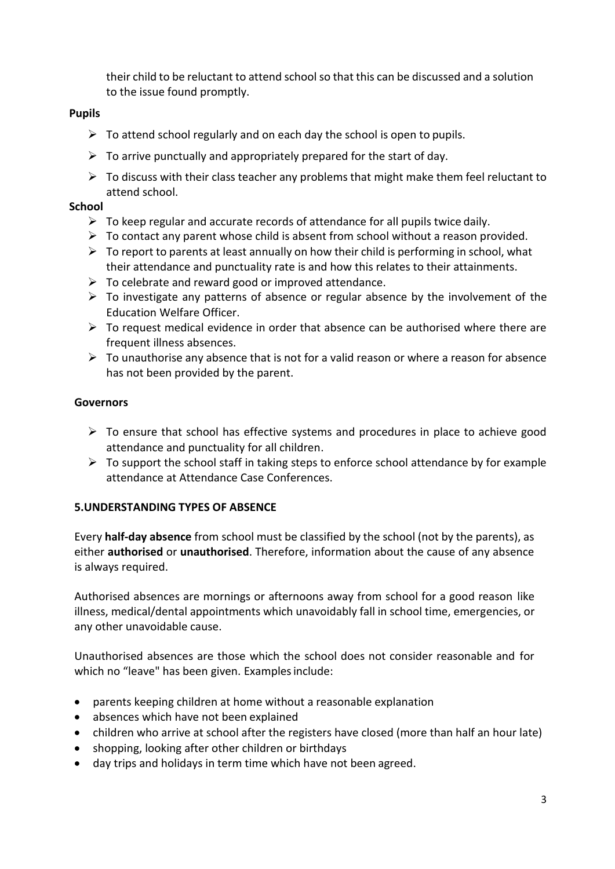their child to be reluctant to attend school so that this can be discussed and a solution to the issue found promptly.

## **Pupils**

- $\triangleright$  To attend school regularly and on each day the school is open to pupils.
- $\triangleright$  To arrive punctually and appropriately prepared for the start of day.
- $\triangleright$  To discuss with their class teacher any problems that might make them feel reluctant to attend school.

## **School**

- $\triangleright$  To keep regular and accurate records of attendance for all pupils twice daily.
- $\triangleright$  To contact any parent whose child is absent from school without a reason provided.
- $\triangleright$  To report to parents at least annually on how their child is performing in school, what their attendance and punctuality rate is and how this relates to their attainments.
- $\triangleright$  To celebrate and reward good or improved attendance.
- $\triangleright$  To investigate any patterns of absence or regular absence by the involvement of the Education Welfare Officer.
- $\triangleright$  To request medical evidence in order that absence can be authorised where there are frequent illness absences.
- $\triangleright$  To unauthorise any absence that is not for a valid reason or where a reason for absence has not been provided by the parent.

## **Governors**

- $\triangleright$  To ensure that school has effective systems and procedures in place to achieve good attendance and punctuality for all children.
- $\triangleright$  To support the school staff in taking steps to enforce school attendance by for example attendance at Attendance Case Conferences.

# **5.UNDERSTANDING TYPES OF ABSENCE**

Every **half-day absence** from school must be classified by the school (not by the parents), as either **authorised** or **unauthorised**. Therefore, information about the cause of any absence is always required.

Authorised absences are mornings or afternoons away from school for a good reason like illness, medical/dental appointments which unavoidably fall in school time, emergencies, or any other unavoidable cause.

Unauthorised absences are those which the school does not consider reasonable and for which no "leave" has been given. Examples include:

- parents keeping children at home without a reasonable explanation
- absences which have not been explained
- children who arrive at school after the registers have closed (more than half an hour late)
- shopping, looking after other children or birthdays
- day trips and holidays in term time which have not been agreed.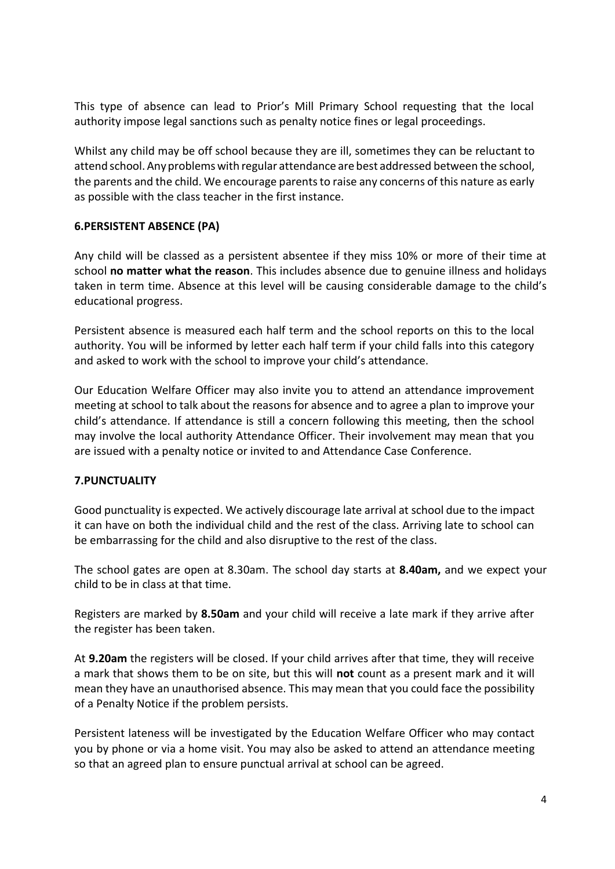This type of absence can lead to Prior's Mill Primary School requesting that the local authority impose legal sanctions such as penalty notice fines or legal proceedings.

Whilst any child may be off school because they are ill, sometimes they can be reluctant to attend school.Anyproblems with regular attendance are best addressed between the school, the parents and the child. We encourage parents to raise any concerns of this nature as early as possible with the class teacher in the first instance.

### **6.PERSISTENT ABSENCE (PA)**

Any child will be classed as a persistent absentee if they miss 10% or more of their time at school **no matter what the reason**. This includes absence due to genuine illness and holidays taken in term time. Absence at this level will be causing considerable damage to the child's educational progress.

Persistent absence is measured each half term and the school reports on this to the local authority. You will be informed by letter each half term if your child falls into this category and asked to work with the school to improve your child's attendance.

Our Education Welfare Officer may also invite you to attend an attendance improvement meeting at school to talk about the reasons for absence and to agree a plan to improve your child's attendance. If attendance is still a concern following this meeting, then the school may involve the local authority Attendance Officer. Their involvement may mean that you are issued with a penalty notice or invited to and Attendance Case Conference.

### **7.PUNCTUALITY**

Good punctuality is expected. We actively discourage late arrival at school due to the impact it can have on both the individual child and the rest of the class. Arriving late to school can be embarrassing for the child and also disruptive to the rest of the class.

The school gates are open at 8.30am. The school day starts at **8.40am,** and we expect your child to be in class at that time.

Registers are marked by **8.50am** and your child will receive a late mark if they arrive after the register has been taken.

At **9.20am** the registers will be closed. If your child arrives after that time, they will receive a mark that shows them to be on site, but this will **not** count as a present mark and it will mean they have an unauthorised absence. This may mean that you could face the possibility of a Penalty Notice if the problem persists.

Persistent lateness will be investigated by the Education Welfare Officer who may contact you by phone or via a home visit. You may also be asked to attend an attendance meeting so that an agreed plan to ensure punctual arrival at school can be agreed.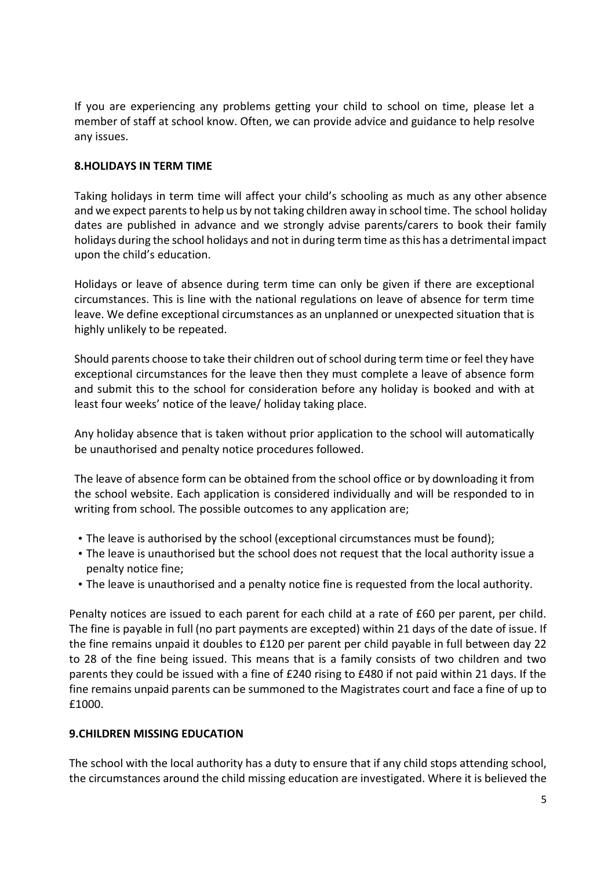If you are experiencing any problems getting your child to school on time, please let a member of staff at school know. Often, we can provide advice and guidance to help resolve any issues.

## **8.HOLIDAYS IN TERM TIME**

Taking holidays in term time will affect your child's schooling as much as any other absence and we expect parents to help us by not taking children away in school time. The school holiday dates are published in advance and we strongly advise parents/carers to book their family holidays during the school holidays and not in during term time as this has a detrimental impact upon the child's education.

Holidays or leave of absence during term time can only be given if there are exceptional circumstances. This is line with the national regulations on leave of absence for term time leave. We define exceptional circumstances as an unplanned or unexpected situation that is highly unlikely to be repeated.

Should parents choose to take their children out of school during term time or feel they have exceptional circumstances for the leave then they must complete a leave of absence form and submit this to the school for consideration before any holiday is booked and with at least four weeks' notice of the leave/ holiday taking place.

Any holiday absence that is taken without prior application to the school will automatically be unauthorised and penalty notice procedures followed.

The leave of absence form can be obtained from the school office or by downloading it from the school website. Each application is considered individually and will be responded to in writing from school. The possible outcomes to any application are;

- The leave is authorised by the school (exceptional circumstances must be found);
- The leave is unauthorised but the school does not request that the local authority issue a penalty notice fine;
- The leave is unauthorised and a penalty notice fine is requested from the local authority.

Penalty notices are issued to each parent for each child at a rate of £60 per parent, per child. The fine is payable in full (no part payments are excepted) within 21 days of the date of issue. If the fine remains unpaid it doubles to £120 per parent per child payable in full between day 22 to 28 of the fine being issued. This means that is a family consists of two children and two parents they could be issued with a fine of £240 rising to £480 if not paid within 21 days. If the fine remains unpaid parents can be summoned to the Magistrates court and face a fine of up to £1000.

### **9.CHILDREN MISSING EDUCATION**

The school with the local authority has a duty to ensure that if any child stops attending school, the circumstances around the child missing education are investigated. Where it is believed the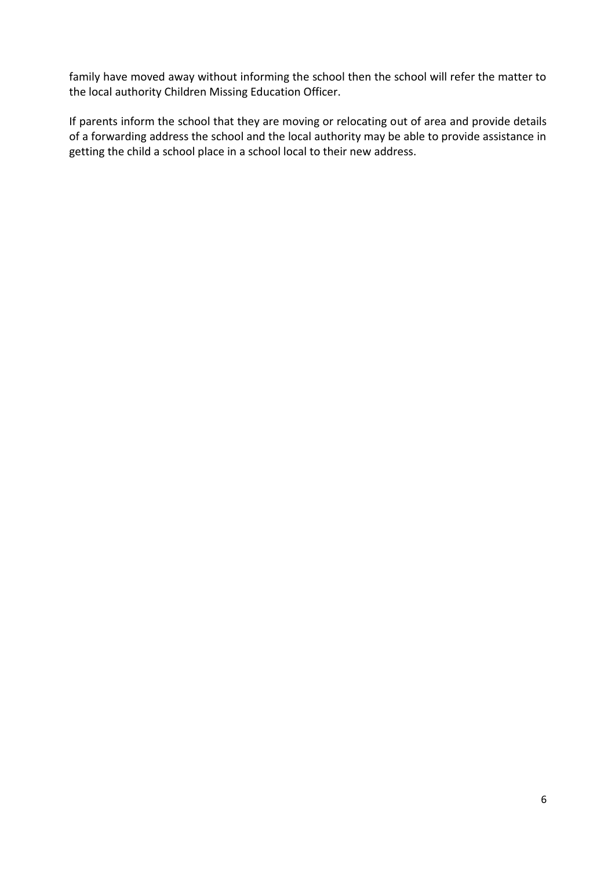family have moved away without informing the school then the school will refer the matter to the local authority Children Missing Education Officer.

If parents inform the school that they are moving or relocating out of area and provide details of a forwarding address the school and the local authority may be able to provide assistance in getting the child a school place in a school local to their new address.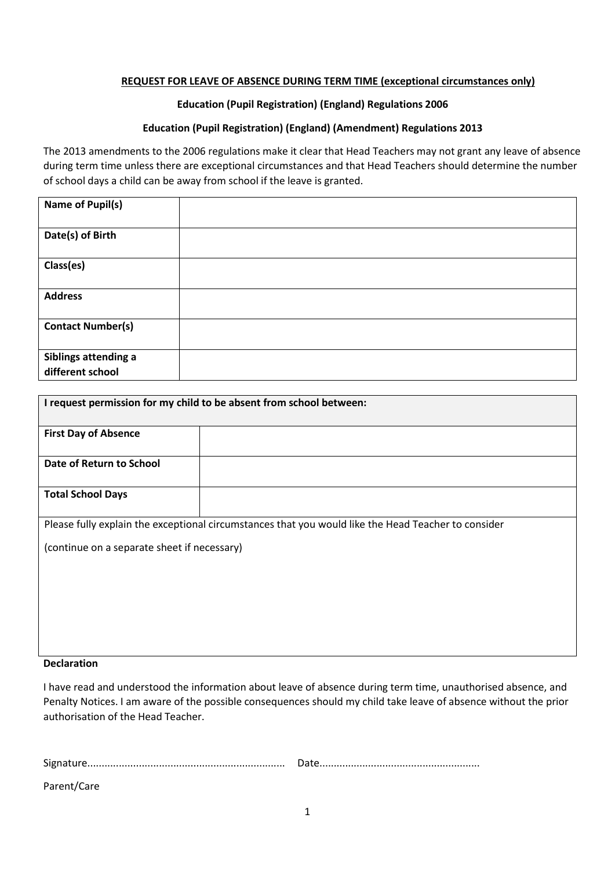#### **REQUEST FOR LEAVE OF ABSENCE DURING TERM TIME (exceptional circumstances only)**

#### **Education (Pupil Registration) (England) Regulations 2006**

#### **Education (Pupil Registration) (England) (Amendment) Regulations 2013**

The 2013 amendments to the 2006 regulations make it clear that Head Teachers may not grant any leave of absence during term time unless there are exceptional circumstances and that Head Teachers should determine the number of school days a child can be away from school if the leave is granted.

| <b>Name of Pupil(s)</b>                  |  |
|------------------------------------------|--|
| Date(s) of Birth                         |  |
| Class(es)                                |  |
| <b>Address</b>                           |  |
| <b>Contact Number(s)</b>                 |  |
| Siblings attending a<br>different school |  |

| I request permission for my child to be absent from school between:                                 |  |  |
|-----------------------------------------------------------------------------------------------------|--|--|
| <b>First Day of Absence</b>                                                                         |  |  |
| Date of Return to School                                                                            |  |  |
| <b>Total School Days</b>                                                                            |  |  |
| Please fully explain the exceptional circumstances that you would like the Head Teacher to consider |  |  |
| (continue on a separate sheet if necessary)                                                         |  |  |
| <b>Declaration</b>                                                                                  |  |  |

# I have read and understood the information about leave of absence during term time, unauthorised absence, and Penalty Notices. I am aware of the possible consequences should my child take leave of absence without the prior authorisation of the Head Teacher.

| Parent/Care |  |
|-------------|--|